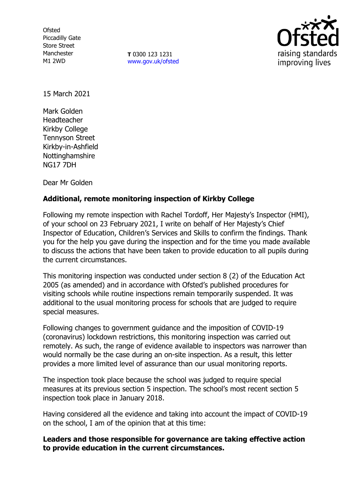**Ofsted** Piccadilly Gate Store Street Manchester M1 2WD

**T** 0300 123 1231 [www.gov.uk/ofsted](http://www.gov.uk/ofsted)



15 March 2021

Mark Golden Headteacher Kirkby College Tennyson Street Kirkby-in-Ashfield Nottinghamshire NG17 7DH

Dear Mr Golden

# **Additional, remote monitoring inspection of Kirkby College**

Following my remote inspection with Rachel Tordoff, Her Majesty's Inspector (HMI), of your school on 23 February 2021, I write on behalf of Her Majesty's Chief Inspector of Education, Children's Services and Skills to confirm the findings. Thank you for the help you gave during the inspection and for the time you made available to discuss the actions that have been taken to provide education to all pupils during the current circumstances.

This monitoring inspection was conducted under section 8 (2) of the Education Act 2005 (as amended) and in accordance with Ofsted's published procedures for visiting schools while routine inspections remain temporarily suspended. It was additional to the usual monitoring process for schools that are judged to require special measures.

Following changes to government guidance and the imposition of COVID-19 (coronavirus) lockdown restrictions, this monitoring inspection was carried out remotely. As such, the range of evidence available to inspectors was narrower than would normally be the case during an on-site inspection. As a result, this letter provides a more limited level of assurance than our usual monitoring reports.

The inspection took place because the school was judged to require special measures at its previous section 5 inspection. The school's most recent section 5 inspection took place in January 2018.

Having considered all the evidence and taking into account the impact of COVID-19 on the school, I am of the opinion that at this time:

## **Leaders and those responsible for governance are taking effective action to provide education in the current circumstances.**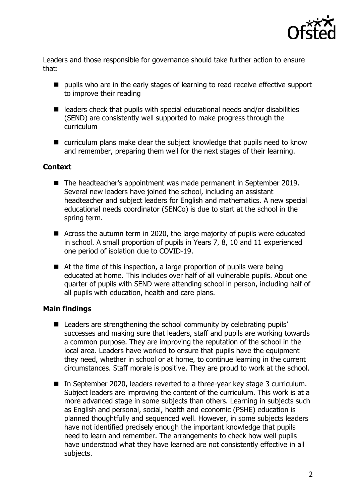

Leaders and those responsible for governance should take further action to ensure that:

- $\blacksquare$  pupils who are in the early stages of learning to read receive effective support to improve their reading
- $\blacksquare$  leaders check that pupils with special educational needs and/or disabilities (SEND) are consistently well supported to make progress through the curriculum
- curriculum plans make clear the subject knowledge that pupils need to know and remember, preparing them well for the next stages of their learning.

## **Context**

- The headteacher's appointment was made permanent in September 2019. Several new leaders have joined the school, including an assistant headteacher and subject leaders for English and mathematics. A new special educational needs coordinator (SENCo) is due to start at the school in the spring term.
- Across the autumn term in 2020, the large majority of pupils were educated in school. A small proportion of pupils in Years 7, 8, 10 and 11 experienced one period of isolation due to COVID-19.
- At the time of this inspection, a large proportion of pupils were being educated at home. This includes over half of all vulnerable pupils. About one quarter of pupils with SEND were attending school in person, including half of all pupils with education, health and care plans.

## **Main findings**

- **E** Leaders are strengthening the school community by celebrating pupils' successes and making sure that leaders, staff and pupils are working towards a common purpose. They are improving the reputation of the school in the local area. Leaders have worked to ensure that pupils have the equipment they need, whether in school or at home, to continue learning in the current circumstances. Staff morale is positive. They are proud to work at the school.
- In September 2020, leaders reverted to a three-year key stage 3 curriculum. Subject leaders are improving the content of the curriculum. This work is at a more advanced stage in some subjects than others. Learning in subjects such as English and personal, social, health and economic (PSHE) education is planned thoughtfully and sequenced well. However, in some subjects leaders have not identified precisely enough the important knowledge that pupils need to learn and remember. The arrangements to check how well pupils have understood what they have learned are not consistently effective in all subjects.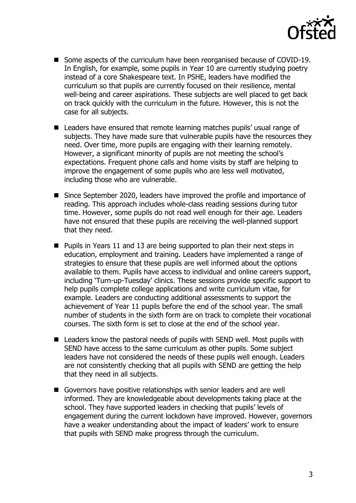

- Some aspects of the curriculum have been reorganised because of COVID-19. In English, for example, some pupils in Year 10 are currently studying poetry instead of a core Shakespeare text. In PSHE, leaders have modified the curriculum so that pupils are currently focused on their resilience, mental well-being and career aspirations. These subjects are well placed to get back on track quickly with the curriculum in the future. However, this is not the case for all subjects.
- Leaders have ensured that remote learning matches pupils' usual range of subjects. They have made sure that vulnerable pupils have the resources they need. Over time, more pupils are engaging with their learning remotely. However, a significant minority of pupils are not meeting the school's expectations. Frequent phone calls and home visits by staff are helping to improve the engagement of some pupils who are less well motivated, including those who are vulnerable.
- Since September 2020, leaders have improved the profile and importance of reading. This approach includes whole-class reading sessions during tutor time. However, some pupils do not read well enough for their age. Leaders have not ensured that these pupils are receiving the well-planned support that they need.
- **Pupils in Years 11 and 13 are being supported to plan their next steps in** education, employment and training. Leaders have implemented a range of strategies to ensure that these pupils are well informed about the options available to them. Pupils have access to individual and online careers support, including 'Turn-up-Tuesday' clinics. These sessions provide specific support to help pupils complete college applications and write curriculum vitae, for example. Leaders are conducting additional assessments to support the achievement of Year 11 pupils before the end of the school year. The small number of students in the sixth form are on track to complete their vocational courses. The sixth form is set to close at the end of the school year.
- Leaders know the pastoral needs of pupils with SEND well. Most pupils with SEND have access to the same curriculum as other pupils. Some subject leaders have not considered the needs of these pupils well enough. Leaders are not consistently checking that all pupils with SEND are getting the help that they need in all subjects.
- Governors have positive relationships with senior leaders and are well informed. They are knowledgeable about developments taking place at the school. They have supported leaders in checking that pupils' levels of engagement during the current lockdown have improved. However, governors have a weaker understanding about the impact of leaders' work to ensure that pupils with SEND make progress through the curriculum.